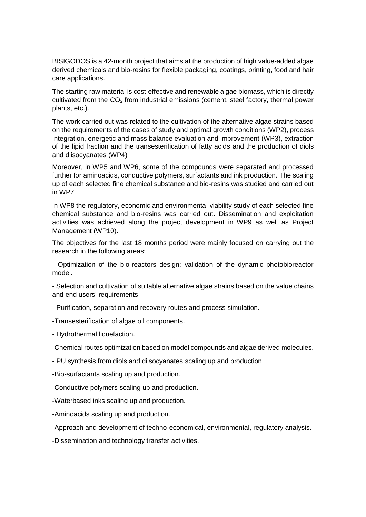BISIGODOS is a 42-month project that aims at the production of high value-added algae derived chemicals and bio-resins for flexible packaging, coatings, printing, food and hair care applications.

The starting raw material is cost-effective and renewable algae biomass, which is directly cultivated from the  $CO<sub>2</sub>$  from industrial emissions (cement, steel factory, thermal power plants, etc.).

The work carried out was related to the cultivation of the alternative algae strains based on the requirements of the cases of study and optimal growth conditions (WP2), process Integration, energetic and mass balance evaluation and improvement (WP3), extraction of the lipid fraction and the transesterification of fatty acids and the production of diols and diisocyanates (WP4)

Moreover, in WP5 and WP6, some of the compounds were separated and processed further for aminoacids, conductive polymers, surfactants and ink production. The scaling up of each selected fine chemical substance and bio-resins was studied and carried out in WP7

In WP8 the regulatory, economic and environmental viability study of each selected fine chemical substance and bio-resins was carried out. Dissemination and exploitation activities was achieved along the project development in WP9 as well as Project Management (WP10).

The objectives for the last 18 months period were mainly focused on carrying out the research in the following areas:

- Optimization of the bio-reactors design: validation of the dynamic photobioreactor model.

- Selection and cultivation of suitable alternative algae strains based on the value chains and end users' requirements.

- Purification, separation and recovery routes and process simulation.

-Transesterification of algae oil components.

- Hydrothermal liquefaction.

-Chemical routes optimization based on model compounds and algae derived molecules.

- PU synthesis from diols and diisocyanates scaling up and production.

-Bio-surfactants scaling up and production.

-Conductive polymers scaling up and production.

-Waterbased inks scaling up and production.

-Aminoacids scaling up and production.

-Approach and development of techno-economical, environmental, regulatory analysis.

-Dissemination and technology transfer activities.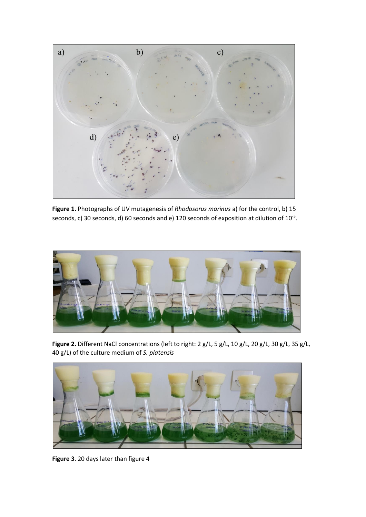

**Figure 1.** Photographs of UV mutagenesis of *Rhodosorus marinus* a) for the control, b) 15 seconds, c) 30 seconds, d) 60 seconds and e) 120 seconds of exposition at dilution of  $10^{-3}$ .



**Figure 2.** Different NaCl concentrations (left to right: 2 g/L, 5 g/L, 10 g/L, 20 g/L, 30 g/L, 35 g/L, 40 g/L) of the culture medium of *S. platensis*



**Figure 3**. 20 days later than figure 4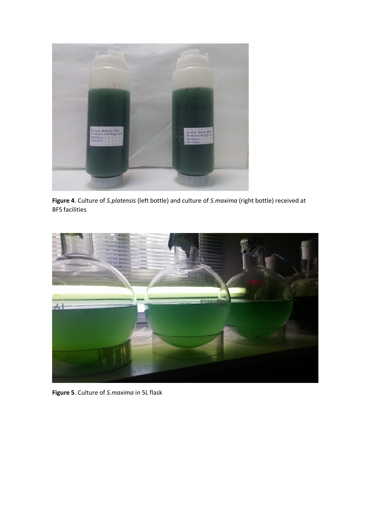

**Figure 4**. Culture of *S.platensis* (left bottle) and culture of *S.maxima* (right bottle) received at BFS facilities



**Figure 5**. Culture of *S.maxima* in 5L flask